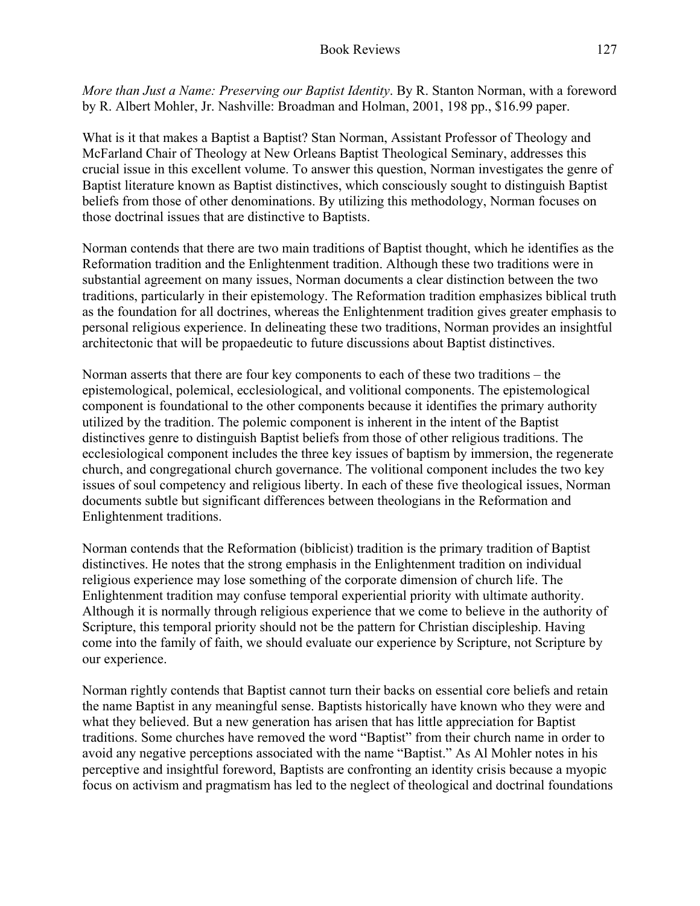*More than Just a Name: Preserving our Baptist Identity*. By R. Stanton Norman, with a foreword by R. Albert Mohler, Jr. Nashville: Broadman and Holman, 2001, 198 pp., \$16.99 paper.

What is it that makes a Baptist a Baptist? Stan Norman, Assistant Professor of Theology and McFarland Chair of Theology at New Orleans Baptist Theological Seminary, addresses this crucial issue in this excellent volume. To answer this question, Norman investigates the genre of Baptist literature known as Baptist distinctives, which consciously sought to distinguish Baptist beliefs from those of other denominations. By utilizing this methodology, Norman focuses on those doctrinal issues that are distinctive to Baptists.

Norman contends that there are two main traditions of Baptist thought, which he identifies as the Reformation tradition and the Enlightenment tradition. Although these two traditions were in substantial agreement on many issues, Norman documents a clear distinction between the two traditions, particularly in their epistemology. The Reformation tradition emphasizes biblical truth as the foundation for all doctrines, whereas the Enlightenment tradition gives greater emphasis to personal religious experience. In delineating these two traditions, Norman provides an insightful architectonic that will be propaedeutic to future discussions about Baptist distinctives.

Norman asserts that there are four key components to each of these two traditions – the epistemological, polemical, ecclesiological, and volitional components. The epistemological component is foundational to the other components because it identifies the primary authority utilized by the tradition. The polemic component is inherent in the intent of the Baptist distinctives genre to distinguish Baptist beliefs from those of other religious traditions. The ecclesiological component includes the three key issues of baptism by immersion, the regenerate church, and congregational church governance. The volitional component includes the two key issues of soul competency and religious liberty. In each of these five theological issues, Norman documents subtle but significant differences between theologians in the Reformation and Enlightenment traditions.

Norman contends that the Reformation (biblicist) tradition is the primary tradition of Baptist distinctives. He notes that the strong emphasis in the Enlightenment tradition on individual religious experience may lose something of the corporate dimension of church life. The Enlightenment tradition may confuse temporal experiential priority with ultimate authority. Although it is normally through religious experience that we come to believe in the authority of Scripture, this temporal priority should not be the pattern for Christian discipleship. Having come into the family of faith, we should evaluate our experience by Scripture, not Scripture by our experience.

Norman rightly contends that Baptist cannot turn their backs on essential core beliefs and retain the name Baptist in any meaningful sense. Baptists historically have known who they were and what they believed. But a new generation has arisen that has little appreciation for Baptist traditions. Some churches have removed the word "Baptist" from their church name in order to avoid any negative perceptions associated with the name "Baptist." As Al Mohler notes in his perceptive and insightful foreword, Baptists are confronting an identity crisis because a myopic focus on activism and pragmatism has led to the neglect of theological and doctrinal foundations